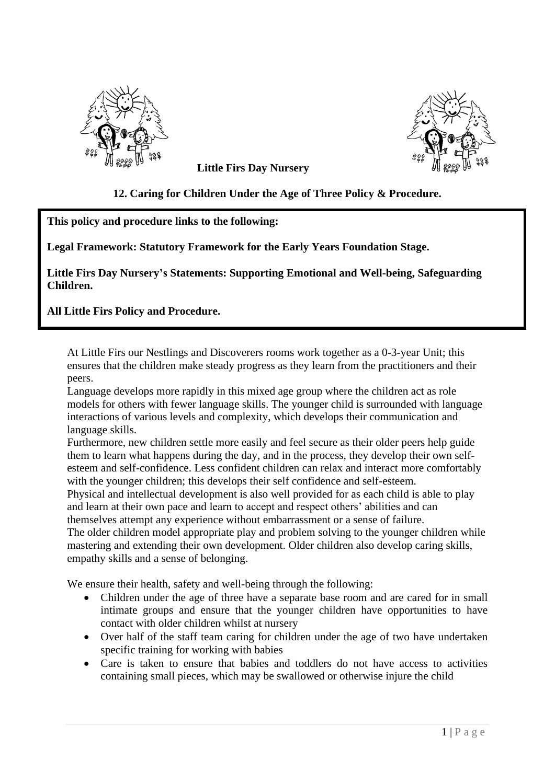



**Little Firs Day Nursery**

# **12. Caring for Children Under the Age of Three Policy & Procedure.**

## **This policy and procedure links to the following:**

**Legal Framework: Statutory Framework for the Early Years Foundation Stage.**

**Little Firs Day Nursery's Statements: Supporting Emotional and Well-being, Safeguarding Children.**

**All Little Firs Policy and Procedure.**

At Little Firs our Nestlings and Discoverers rooms work together as a 0-3-year Unit; this ensures that the children make steady progress as they learn from the practitioners and their peers.

Language develops more rapidly in this mixed age group where the children act as role models for others with fewer language skills. The younger child is surrounded with language interactions of various levels and complexity, which develops their communication and language skills.

Furthermore, new children settle more easily and feel secure as their older peers help guide them to learn what happens during the day, and in the process, they develop their own selfesteem and self-confidence. Less confident children can relax and interact more comfortably with the younger children; this develops their self confidence and self-esteem.

Physical and intellectual development is also well provided for as each child is able to play and learn at their own pace and learn to accept and respect others' abilities and can themselves attempt any experience without embarrassment or a sense of failure.

The older children model appropriate play and problem solving to the younger children while mastering and extending their own development. Older children also develop caring skills, empathy skills and a sense of belonging.

We ensure their health, safety and well-being through the following:

- Children under the age of three have a separate base room and are cared for in small intimate groups and ensure that the younger children have opportunities to have contact with older children whilst at nursery
- Over half of the staff team caring for children under the age of two have undertaken specific training for working with babies
- Care is taken to ensure that babies and toddlers do not have access to activities containing small pieces, which may be swallowed or otherwise injure the child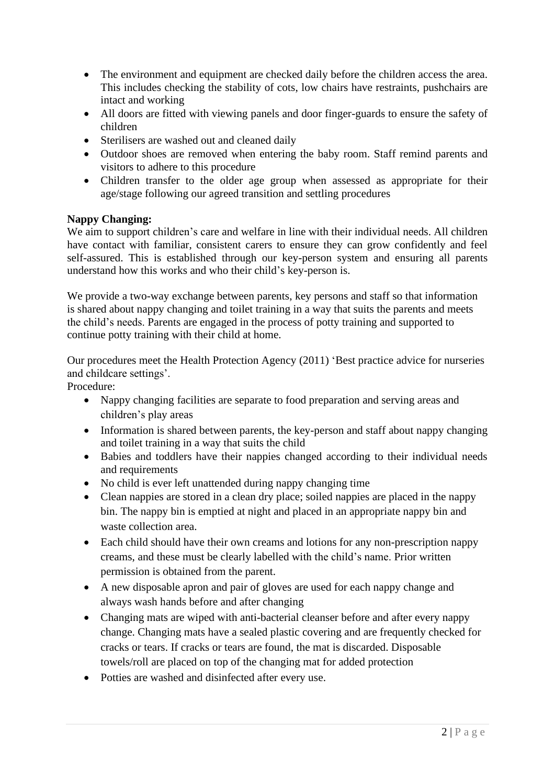- The environment and equipment are checked daily before the children access the area. This includes checking the stability of cots, low chairs have restraints, pushchairs are intact and working
- All doors are fitted with viewing panels and door finger-guards to ensure the safety of children
- Sterilisers are washed out and cleaned daily
- Outdoor shoes are removed when entering the baby room. Staff remind parents and visitors to adhere to this procedure
- Children transfer to the older age group when assessed as appropriate for their age/stage following our agreed transition and settling procedures

### **Nappy Changing:**

We aim to support children's care and welfare in line with their individual needs. All children have contact with familiar, consistent carers to ensure they can grow confidently and feel self-assured. This is established through our key-person system and ensuring all parents understand how this works and who their child's key-person is.

We provide a two-way exchange between parents, key persons and staff so that information is shared about nappy changing and toilet training in a way that suits the parents and meets the child's needs. Parents are engaged in the process of potty training and supported to continue potty training with their child at home.

Our procedures meet the Health Protection Agency (2011) 'Best practice advice for nurseries and childcare settings'.

Procedure:

- Nappy changing facilities are separate to food preparation and serving areas and children's play areas
- Information is shared between parents, the key-person and staff about nappy changing and toilet training in a way that suits the child
- Babies and toddlers have their nappies changed according to their individual needs and requirements
- No child is ever left unattended during nappy changing time
- Clean nappies are stored in a clean dry place; soiled nappies are placed in the nappy bin. The nappy bin is emptied at night and placed in an appropriate nappy bin and waste collection area.
- Each child should have their own creams and lotions for any non-prescription nappy creams, and these must be clearly labelled with the child's name. Prior written permission is obtained from the parent.
- A new disposable apron and pair of gloves are used for each nappy change and always wash hands before and after changing
- Changing mats are wiped with anti-bacterial cleanser before and after every nappy change. Changing mats have a sealed plastic covering and are frequently checked for cracks or tears. If cracks or tears are found, the mat is discarded. Disposable towels/roll are placed on top of the changing mat for added protection
- Potties are washed and disinfected after every use.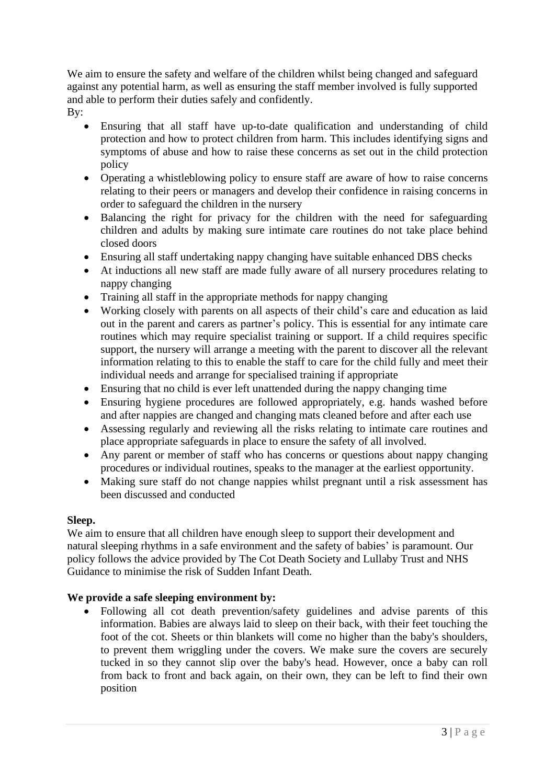We aim to ensure the safety and welfare of the children whilst being changed and safeguard against any potential harm, as well as ensuring the staff member involved is fully supported and able to perform their duties safely and confidently.

- By:
	- Ensuring that all staff have up-to-date qualification and understanding of child protection and how to protect children from harm. This includes identifying signs and symptoms of abuse and how to raise these concerns as set out in the child protection policy
	- Operating a whistleblowing policy to ensure staff are aware of how to raise concerns relating to their peers or managers and develop their confidence in raising concerns in order to safeguard the children in the nursery
	- Balancing the right for privacy for the children with the need for safeguarding children and adults by making sure intimate care routines do not take place behind closed doors
	- Ensuring all staff undertaking nappy changing have suitable enhanced DBS checks
	- At inductions all new staff are made fully aware of all nursery procedures relating to nappy changing
	- Training all staff in the appropriate methods for nappy changing
	- Working closely with parents on all aspects of their child's care and education as laid out in the parent and carers as partner's policy. This is essential for any intimate care routines which may require specialist training or support. If a child requires specific support, the nursery will arrange a meeting with the parent to discover all the relevant information relating to this to enable the staff to care for the child fully and meet their individual needs and arrange for specialised training if appropriate
	- Ensuring that no child is ever left unattended during the nappy changing time
	- Ensuring hygiene procedures are followed appropriately, e.g. hands washed before and after nappies are changed and changing mats cleaned before and after each use
	- Assessing regularly and reviewing all the risks relating to intimate care routines and place appropriate safeguards in place to ensure the safety of all involved.
	- Any parent or member of staff who has concerns or questions about nappy changing procedures or individual routines, speaks to the manager at the earliest opportunity.
	- Making sure staff do not change nappies whilst pregnant until a risk assessment has been discussed and conducted

# **Sleep.**

We aim to ensure that all children have enough sleep to support their development and natural sleeping rhythms in a safe environment and the safety of babies' is paramount. Our policy follows the advice provided by The Cot Death Society and Lullaby Trust and NHS Guidance to minimise the risk of Sudden Infant Death.

# **We provide a safe sleeping environment by:**

• Following all cot death prevention/safety guidelines and advise parents of this information. Babies are always laid to sleep on their back, with their feet touching the foot of the cot. Sheets or thin blankets will come no higher than the baby's shoulders, to prevent them wriggling under the covers. We make sure the covers are securely tucked in so they cannot slip over the baby's head. However, once a baby can roll from back to front and back again, on their own, they can be left to find their own position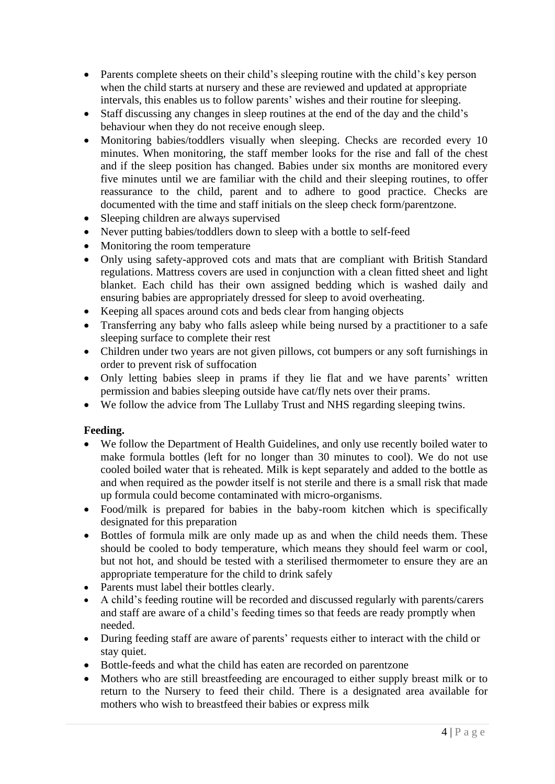- Parents complete sheets on their child's sleeping routine with the child's key person when the child starts at nursery and these are reviewed and updated at appropriate intervals, this enables us to follow parents' wishes and their routine for sleeping.
- Staff discussing any changes in sleep routines at the end of the day and the child's behaviour when they do not receive enough sleep.
- Monitoring babies/toddlers visually when sleeping. Checks are recorded every 10 minutes. When monitoring, the staff member looks for the rise and fall of the chest and if the sleep position has changed. Babies under six months are monitored every five minutes until we are familiar with the child and their sleeping routines, to offer reassurance to the child, parent and to adhere to good practice. Checks are documented with the time and staff initials on the sleep check form/parentzone.
- Sleeping children are always supervised
- Never putting babies/toddlers down to sleep with a bottle to self-feed
- Monitoring the room temperature
- Only using safety-approved cots and mats that are compliant with British Standard regulations. Mattress covers are used in conjunction with a clean fitted sheet and light blanket. Each child has their own assigned bedding which is washed daily and ensuring babies are appropriately dressed for sleep to avoid overheating.
- Keeping all spaces around cots and beds clear from hanging objects
- Transferring any baby who falls asleep while being nursed by a practitioner to a safe sleeping surface to complete their rest
- Children under two years are not given pillows, cot bumpers or any soft furnishings in order to prevent risk of suffocation
- Only letting babies sleep in prams if they lie flat and we have parents' written permission and babies sleeping outside have cat/fly nets over their prams.
- We follow the advice from The Lullaby Trust and NHS regarding sleeping twins.

### **Feeding.**

- We follow the Department of Health Guidelines, and only use recently boiled water to make formula bottles (left for no longer than 30 minutes to cool). We do not use cooled boiled water that is reheated. Milk is kept separately and added to the bottle as and when required as the powder itself is not sterile and there is a small risk that made up formula could become contaminated with micro-organisms.
- Food/milk is prepared for babies in the baby-room kitchen which is specifically designated for this preparation
- Bottles of formula milk are only made up as and when the child needs them. These should be cooled to body temperature, which means they should feel warm or cool, but not hot, and should be tested with a sterilised thermometer to ensure they are an appropriate temperature for the child to drink safely
- Parents must label their bottles clearly.
- A child's feeding routine will be recorded and discussed regularly with parents/carers and staff are aware of a child's feeding times so that feeds are ready promptly when needed.
- During feeding staff are aware of parents' requests either to interact with the child or stay quiet.
- Bottle-feeds and what the child has eaten are recorded on parentzone
- Mothers who are still breastfeeding are encouraged to either supply breast milk or to return to the Nursery to feed their child. There is a designated area available for mothers who wish to breastfeed their babies or express milk